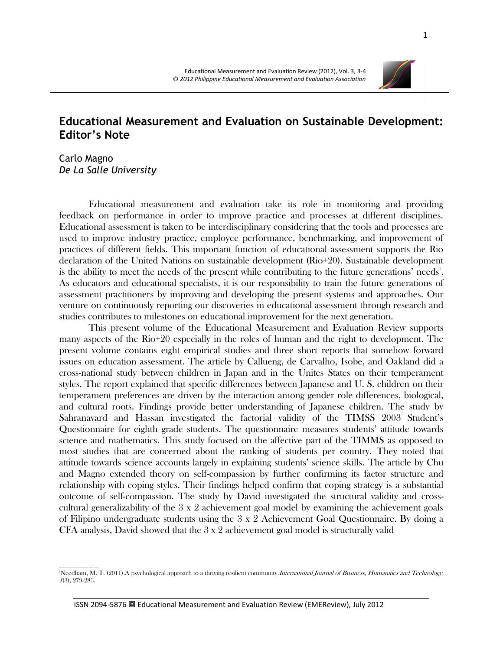## **Educational Measurement and Evaluation on Sustainable Development: Editor's Note**

Carlo Magno *De La Salle University*

\_\_\_\_\_\_\_\_

Educational measurement and evaluation take its role in monitoring and providing feedback on performance in order to improve practice and processes at different disciplines. Educational assessment is taken to be interdisciplinary considering that the tools and processes are used to improve industry practice, employee performance, benchmarking, and improvement of practices of different fields. This important function of educational assessment supports the Rio declaration of the United Nations on sustainable development (Rio+20). Sustainable development is the ability to meet the needs of the present while contributing to the future generations' needs'. As educators and educational specialists, it is our responsibility to train the future generations of assessment practitioners by improving and developing the present systems and approaches. Our venture on continuously reporting our discoveries in educational assessment through research and studies contributes to milestones on educational improvement for the next generation.

This present volume of the Educational Measurement and Evaluation Review supports many aspects of the Rio+20 especially in the roles of human and the right to development. The present volume contains eight empirical studies and three short reports that somehow forward issues on education assessment. The article by Callueng, de Carvalho, Isobe, and Oakland did a cross-national study between children in Japan and in the Unites States on their temperament styles. The report explained that specific differences between Japanese and U. S. children on their temperament preferences are driven by the interaction among gender role differences, biological, and cultural roots. Findings provide better understanding of Japanese children. The study by Sahranavard and Hassan investigated the factorial validity of the TIMSS 2003 Student's Questionnaire for eighth grade students. The questionnaire measures students' attitude towards science and mathematics. This study focused on the affective part of the TIMMS as opposed to most studies that are concerned about the ranking of students per country. They noted that attitude towards science accounts largely in explaining students' science skills. The article by Chu and Magno extended theory on self-compassion by further confirming its factor structure and relationship with coping styles. Their findings helped confirm that coping strategy is a substantial outcome of self-compassion. The study by David investigated the structural validity and crosscultural generalizability of the 3 x 2 achievement goal model by examining the achievement goals of Filipino undergraduate students using the 3 x 2 Achievement Goal Questionnaire. By doing a CFA analysis, David showed that the 3 x 2 achievement goal model is structurally valid



<sup>&</sup>lt;sup>1</sup>Needham, M. T. (2011).A psychological approach to a thriving resilient community.*International Journal of Business, Humanities and Technology,* 1(3), 279-283.